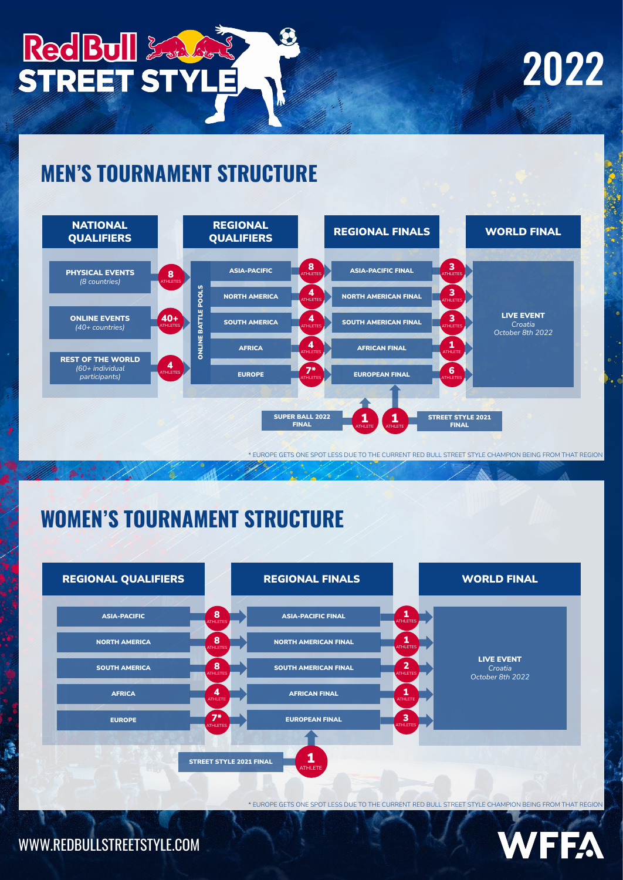

# 2022

 $\ddot{\phantom{a}}$ 

#### **MEN'S TOURNAMENT STRUCTURE**



\* EUROPE GETS ONE SPOT LESS DUE TO THE CURRENT RED BULL STREET STYLE CHAMPION BEING FROM THAT REGION

## **WOMEN'S TOURNAMENT STRUCTURE**



\* EUROPE GETS ONE SPOT LESS DUE TO THE CURRENT RED BULL STREET STYLE CHAMPION BEING FROM THAT REGION

FFA

WWW.REDBULLSTREETSTYLE.COM